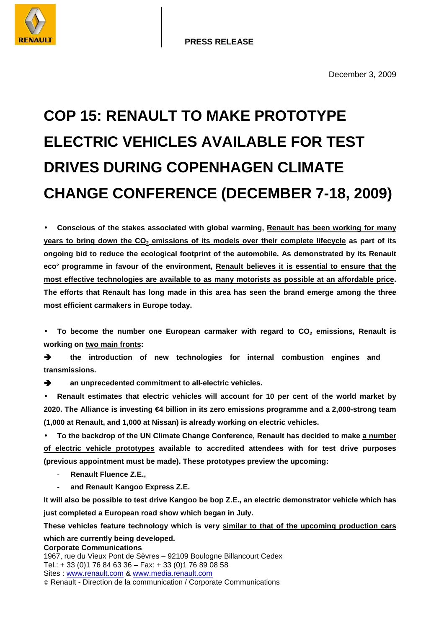# **COP 15: RENAULT TO MAKE PROTOTYPE ELECTRIC VEHICLES AVAILABLE FOR TEST DRIVES DURING COPENHAGEN CLIMATE CHANGE CONFERENCE (DECEMBER 7-18, 2009)**

• **Conscious of the stakes associated with global warming, Renault has been working for many years to bring down the CO2 emissions of its models over their complete lifecycle as part of its ongoing bid to reduce the ecological footprint of the automobile. As demonstrated by its Renault eco² programme in favour of the environment, Renault believes it is essential to ensure that the most effective technologies are available to as many motorists as possible at an affordable price. The efforts that Renault has long made in this area has seen the brand emerge among the three most efficient carmakers in Europe today.** 

• To become the number one European carmaker with regard to CO<sub>2</sub> emissions, Renault is **working on two main fronts:** 

 $\rightarrow$  the introduction of new technologies for internal combustion engines and **transmissions.** 

 $\rightarrow$  an unprecedented commitment to all-electric vehicles.

• **Renault estimates that electric vehicles will account for 10 per cent of the world market by 2020. The Alliance is investing €4 billion in its zero emissions programme and a 2,000-strong team (1,000 at Renault, and 1,000 at Nissan) is already working on electric vehicles.** 

• **To the backdrop of the UN Climate Change Conference, Renault has decided to make a number of electric vehicle prototypes available to accredited attendees with for test drive purposes (previous appointment must be made). These prototypes preview the upcoming:** 

- **Renault Fluence Z.E.,**
- **and Renault Kangoo Express Z.E.**

**It will also be possible to test drive Kangoo be bop Z.E., an electric demonstrator vehicle which has just completed a European road show which began in July.** 

**These vehicles feature technology which is very similar to that of the upcoming production cars which are currently being developed.** 

**Corporate Communications** 

1967, rue du Vieux Pont de Sèvres – 92109 Boulogne Billancourt Cedex Tel.: + 33 (0)1 76 84 63 36 – Fax: + 33 (0)1 76 89 08 58 Sites : www.renault.com & www.media.renault.com Renault - Direction de la communication / Corporate Communications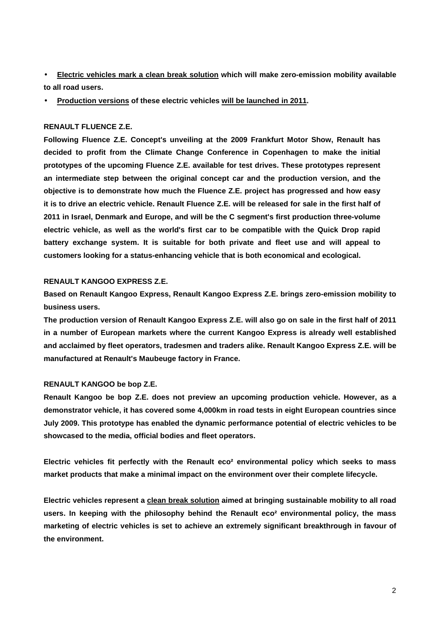• **Electric vehicles mark a clean break solution which will make zero-emission mobility available to all road users.** 

• **Production versions of these electric vehicles will be launched in 2011.** 

## **RENAULT FLUENCE Z.E.**

**Following Fluence Z.E. Concept's unveiling at the 2009 Frankfurt Motor Show, Renault has decided to profit from the Climate Change Conference in Copenhagen to make the initial prototypes of the upcoming Fluence Z.E. available for test drives. These prototypes represent an intermediate step between the original concept car and the production version, and the objective is to demonstrate how much the Fluence Z.E. project has progressed and how easy it is to drive an electric vehicle. Renault Fluence Z.E. will be released for sale in the first half of 2011 in Israel, Denmark and Europe, and will be the C segment's first production three-volume electric vehicle, as well as the world's first car to be compatible with the Quick Drop rapid battery exchange system. It is suitable for both private and fleet use and will appeal to customers looking for a status-enhancing vehicle that is both economical and ecological.** 

#### **RENAULT KANGOO EXPRESS Z.E.**

**Based on Renault Kangoo Express, Renault Kangoo Express Z.E. brings zero-emission mobility to business users.** 

**The production version of Renault Kangoo Express Z.E. will also go on sale in the first half of 2011 in a number of European markets where the current Kangoo Express is already well established and acclaimed by fleet operators, tradesmen and traders alike. Renault Kangoo Express Z.E. will be manufactured at Renault's Maubeuge factory in France.** 

# **RENAULT KANGOO be bop Z.E.**

**Renault Kangoo be bop Z.E. does not preview an upcoming production vehicle. However, as a demonstrator vehicle, it has covered some 4,000km in road tests in eight European countries since July 2009. This prototype has enabled the dynamic performance potential of electric vehicles to be showcased to the media, official bodies and fleet operators.** 

**Electric vehicles fit perfectly with the Renault eco² environmental policy which seeks to mass market products that make a minimal impact on the environment over their complete lifecycle.** 

**Electric vehicles represent a clean break solution aimed at bringing sustainable mobility to all road users. In keeping with the philosophy behind the Renault eco² environmental policy, the mass marketing of electric vehicles is set to achieve an extremely significant breakthrough in favour of the environment.**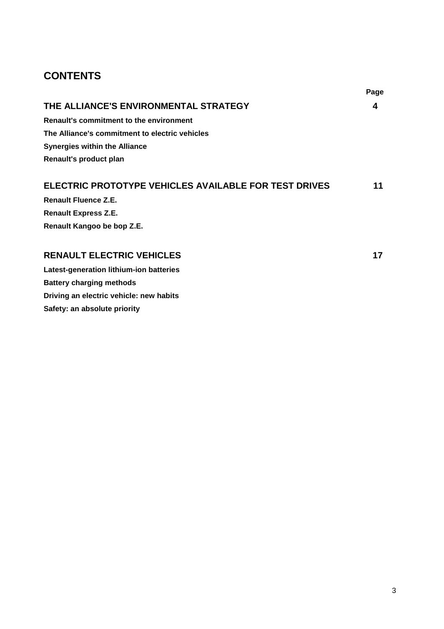# **CONTENTS**

**Driving an electric vehicle: new habits** 

**Safety: an absolute priority** 

| THE ALLIANCE'S ENVIRONMENTAL STRATEGY                        | 4  |
|--------------------------------------------------------------|----|
| Renault's commitment to the environment                      |    |
| The Alliance's commitment to electric vehicles               |    |
| Synergies within the Alliance                                |    |
| Renault's product plan                                       |    |
|                                                              |    |
| <b>ELECTRIC PROTOTYPE VEHICLES AVAILABLE FOR TEST DRIVES</b> | 11 |
| <b>Renault Fluence Z.E.</b>                                  |    |
| <b>Renault Express Z.E.</b>                                  |    |
| Renault Kangoo be bop Z.E.                                   |    |
|                                                              |    |
| <b>RENAULT ELECTRIC VEHICLES</b>                             | 17 |
| Latest-generation lithium-ion batteries                      |    |
| <b>Battery charging methods</b>                              |    |

**Page**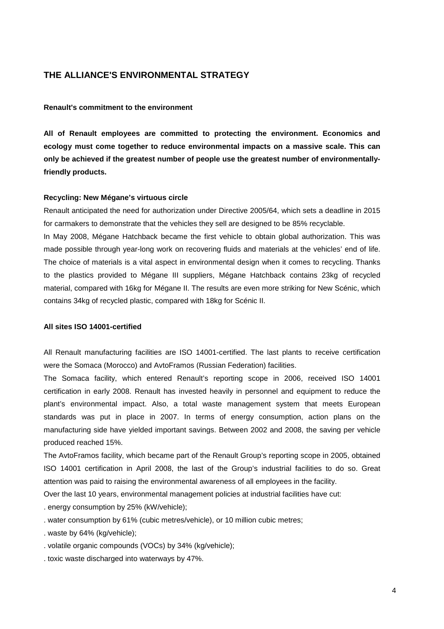# **THE ALLIANCE'S ENVIRONMENTAL STRATEGY**

#### **Renault's commitment to the environment**

**All of Renault employees are committed to protecting the environment. Economics and ecology must come together to reduce environmental impacts on a massive scale. This can only be achieved if the greatest number of people use the greatest number of environmentallyfriendly products.** 

#### **Recycling: New Mégane's virtuous circle**

Renault anticipated the need for authorization under Directive 2005/64, which sets a deadline in 2015 for carmakers to demonstrate that the vehicles they sell are designed to be 85% recyclable.

In May 2008, Mégane Hatchback became the first vehicle to obtain global authorization. This was made possible through year-long work on recovering fluids and materials at the vehicles' end of life. The choice of materials is a vital aspect in environmental design when it comes to recycling. Thanks to the plastics provided to Mégane III suppliers, Mégane Hatchback contains 23kg of recycled material, compared with 16kg for Mégane II. The results are even more striking for New Scénic, which contains 34kg of recycled plastic, compared with 18kg for Scénic II.

#### **All sites ISO 14001-certified**

All Renault manufacturing facilities are ISO 14001-certified. The last plants to receive certification were the Somaca (Morocco) and AvtoFramos (Russian Federation) facilities.

The Somaca facility, which entered Renault's reporting scope in 2006, received ISO 14001 certification in early 2008. Renault has invested heavily in personnel and equipment to reduce the plant's environmental impact. Also, a total waste management system that meets European standards was put in place in 2007. In terms of energy consumption, action plans on the manufacturing side have yielded important savings. Between 2002 and 2008, the saving per vehicle produced reached 15%.

The AvtoFramos facility, which became part of the Renault Group's reporting scope in 2005, obtained ISO 14001 certification in April 2008, the last of the Group's industrial facilities to do so. Great attention was paid to raising the environmental awareness of all employees in the facility.

Over the last 10 years, environmental management policies at industrial facilities have cut:

. energy consumption by 25% (kW/vehicle);

- . water consumption by 61% (cubic metres/vehicle), or 10 million cubic metres;
- . waste by 64% (kg/vehicle);
- . volatile organic compounds (VOCs) by 34% (kg/vehicle);
- . toxic waste discharged into waterways by 47%.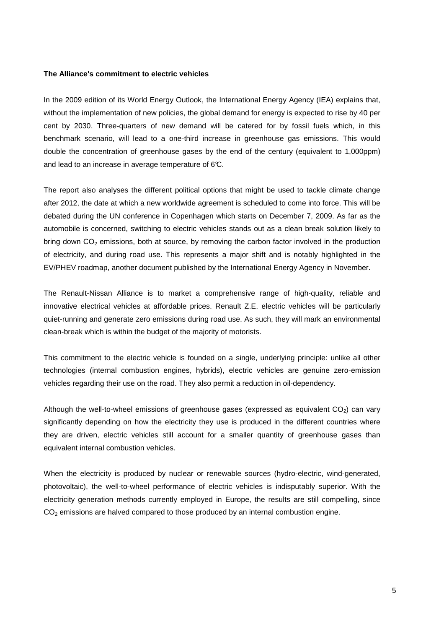#### **The Alliance's commitment to electric vehicles**

In the 2009 edition of its World Energy Outlook, the International Energy Agency (IEA) explains that, without the implementation of new policies, the global demand for energy is expected to rise by 40 per cent by 2030. Three-quarters of new demand will be catered for by fossil fuels which, in this benchmark scenario, will lead to a one-third increase in greenhouse gas emissions. This would double the concentration of greenhouse gases by the end of the century (equivalent to 1,000ppm) and lead to an increase in average temperature of 6°C.

The report also analyses the different political options that might be used to tackle climate change after 2012, the date at which a new worldwide agreement is scheduled to come into force. This will be debated during the UN conference in Copenhagen which starts on December 7, 2009. As far as the automobile is concerned, switching to electric vehicles stands out as a clean break solution likely to bring down CO<sub>2</sub> emissions, both at source, by removing the carbon factor involved in the production of electricity, and during road use. This represents a major shift and is notably highlighted in the EV/PHEV roadmap, another document published by the International Energy Agency in November.

The Renault-Nissan Alliance is to market a comprehensive range of high-quality, reliable and innovative electrical vehicles at affordable prices. Renault Z.E. electric vehicles will be particularly quiet-running and generate zero emissions during road use. As such, they will mark an environmental clean-break which is within the budget of the majority of motorists.

This commitment to the electric vehicle is founded on a single, underlying principle: unlike all other technologies (internal combustion engines, hybrids), electric vehicles are genuine zero-emission vehicles regarding their use on the road. They also permit a reduction in oil-dependency.

Although the well-to-wheel emissions of greenhouse gases (expressed as equivalent  $CO<sub>2</sub>$ ) can vary significantly depending on how the electricity they use is produced in the different countries where they are driven, electric vehicles still account for a smaller quantity of greenhouse gases than equivalent internal combustion vehicles.

When the electricity is produced by nuclear or renewable sources (hydro-electric, wind-generated, photovoltaic), the well-to-wheel performance of electric vehicles is indisputably superior. With the electricity generation methods currently employed in Europe, the results are still compelling, since  $CO<sub>2</sub>$  emissions are halved compared to those produced by an internal combustion engine.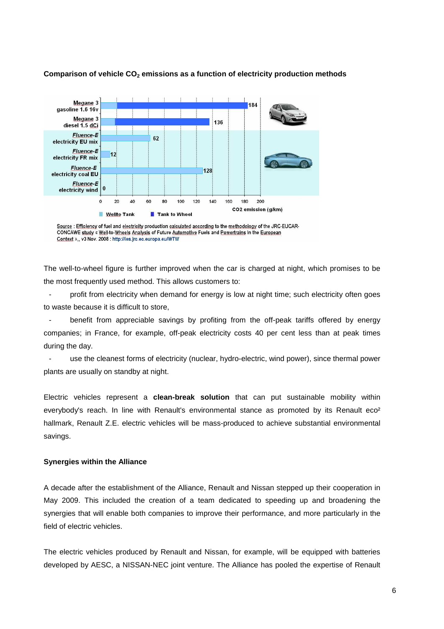

# **Comparison of vehicle CO2 emissions as a function of electricity production methods**

The well-to-wheel figure is further improved when the car is charged at night, which promises to be the most frequently used method. This allows customers to:

profit from electricity when demand for energy is low at night time; such electricity often goes to waste because it is difficult to store,

benefit from appreciable savings by profiting from the off-peak tariffs offered by energy companies; in France, for example, off-peak electricity costs 40 per cent less than at peak times during the day.

- use the cleanest forms of electricity (nuclear, hydro-electric, wind power), since thermal power plants are usually on standby at night.

Electric vehicles represent a **clean-break solution** that can put sustainable mobility within everybody's reach. In line with Renault's environmental stance as promoted by its Renault eco<sup>2</sup> hallmark, Renault Z.E. electric vehicles will be mass-produced to achieve substantial environmental savings.

#### **Synergies within the Alliance**

A decade after the establishment of the Alliance, Renault and Nissan stepped up their cooperation in May 2009. This included the creation of a team dedicated to speeding up and broadening the synergies that will enable both companies to improve their performance, and more particularly in the field of electric vehicles.

The electric vehicles produced by Renault and Nissan, for example, will be equipped with batteries developed by AESC, a NISSAN-NEC joint venture. The Alliance has pooled the expertise of Renault

Source : Efficiency of fuel and electricity production calculated according to the methodology of the JRC-EUCAR-CONCAWE study « Well-to-Wheels Analysis of Future Automotive Fuels and Powertrains In the European Context »,, v3 Nov. 2008 : http://ies.jrc.ec.europa.eu/WTW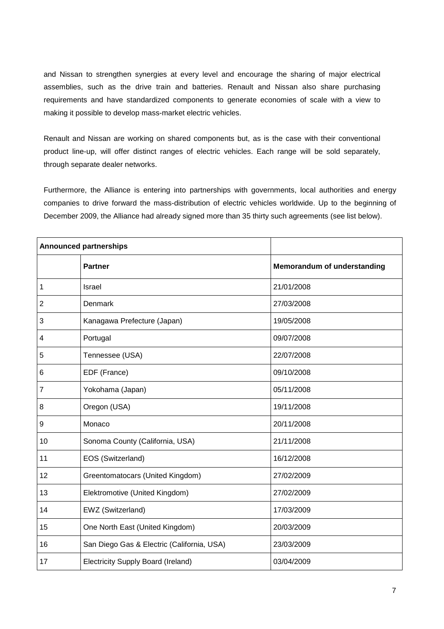and Nissan to strengthen synergies at every level and encourage the sharing of major electrical assemblies, such as the drive train and batteries. Renault and Nissan also share purchasing requirements and have standardized components to generate economies of scale with a view to making it possible to develop mass-market electric vehicles.

Renault and Nissan are working on shared components but, as is the case with their conventional product line-up, will offer distinct ranges of electric vehicles. Each range will be sold separately, through separate dealer networks.

Furthermore, the Alliance is entering into partnerships with governments, local authorities and energy companies to drive forward the mass-distribution of electric vehicles worldwide. Up to the beginning of December 2009, the Alliance had already signed more than 35 thirty such agreements (see list below).

| <b>Announced partnerships</b> |                                            |                             |
|-------------------------------|--------------------------------------------|-----------------------------|
|                               | <b>Partner</b>                             | Memorandum of understanding |
| $\mathbf 1$                   | Israel                                     | 21/01/2008                  |
| 2                             | Denmark                                    | 27/03/2008                  |
| 3                             | Kanagawa Prefecture (Japan)                | 19/05/2008                  |
| 4                             | Portugal                                   | 09/07/2008                  |
| 5                             | Tennessee (USA)                            | 22/07/2008                  |
| 6                             | EDF (France)                               | 09/10/2008                  |
| $\overline{7}$                | Yokohama (Japan)                           | 05/11/2008                  |
| 8                             | Oregon (USA)                               | 19/11/2008                  |
| 9                             | Monaco                                     | 20/11/2008                  |
| 10                            | Sonoma County (California, USA)            | 21/11/2008                  |
| 11                            | EOS (Switzerland)                          | 16/12/2008                  |
| 12                            | Greentomatocars (United Kingdom)           | 27/02/2009                  |
| 13                            | Elektromotive (United Kingdom)             | 27/02/2009                  |
| 14                            | EWZ (Switzerland)                          | 17/03/2009                  |
| 15                            | One North East (United Kingdom)            | 20/03/2009                  |
| 16                            | San Diego Gas & Electric (California, USA) | 23/03/2009                  |
| 17                            | <b>Electricity Supply Board (Ireland)</b>  | 03/04/2009                  |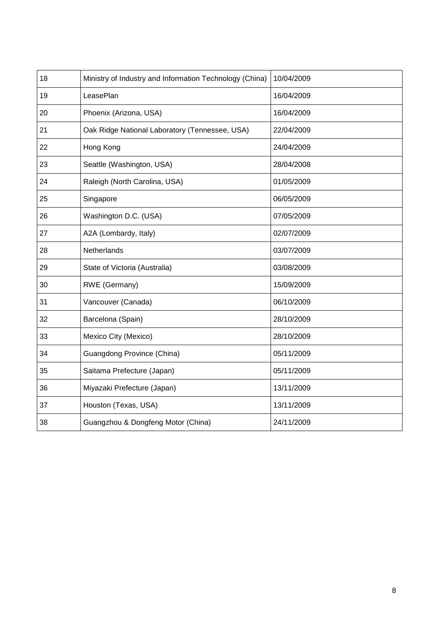| 18 | Ministry of Industry and Information Technology (China) | 10/04/2009 |
|----|---------------------------------------------------------|------------|
| 19 | LeasePlan                                               | 16/04/2009 |
| 20 | Phoenix (Arizona, USA)                                  | 16/04/2009 |
| 21 | Oak Ridge National Laboratory (Tennessee, USA)          | 22/04/2009 |
| 22 | Hong Kong                                               | 24/04/2009 |
| 23 | Seattle (Washington, USA)                               | 28/04/2008 |
| 24 | Raleigh (North Carolina, USA)                           | 01/05/2009 |
| 25 | Singapore                                               | 06/05/2009 |
| 26 | Washington D.C. (USA)                                   | 07/05/2009 |
| 27 | A2A (Lombardy, Italy)                                   | 02/07/2009 |
| 28 | Netherlands                                             | 03/07/2009 |
| 29 | State of Victoria (Australia)                           | 03/08/2009 |
| 30 | RWE (Germany)                                           | 15/09/2009 |
| 31 | Vancouver (Canada)                                      | 06/10/2009 |
| 32 | Barcelona (Spain)                                       | 28/10/2009 |
| 33 | Mexico City (Mexico)                                    | 28/10/2009 |
| 34 | Guangdong Province (China)                              | 05/11/2009 |
| 35 | Saitama Prefecture (Japan)                              | 05/11/2009 |
| 36 | Miyazaki Prefecture (Japan)                             | 13/11/2009 |
| 37 | Houston (Texas, USA)                                    | 13/11/2009 |
| 38 | Guangzhou & Dongfeng Motor (China)                      | 24/11/2009 |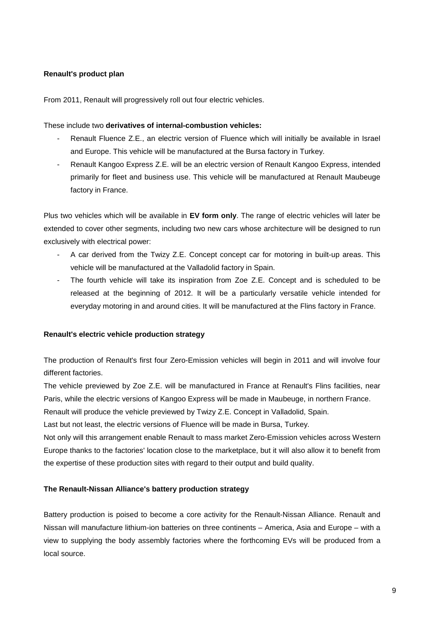# **Renault's product plan**

From 2011, Renault will progressively roll out four electric vehicles.

These include two **derivatives of internal-combustion vehicles:**

- Renault Fluence Z.E., an electric version of Fluence which will initially be available in Israel and Europe. This vehicle will be manufactured at the Bursa factory in Turkey.
- Renault Kangoo Express Z.E. will be an electric version of Renault Kangoo Express, intended primarily for fleet and business use. This vehicle will be manufactured at Renault Maubeuge factory in France.

Plus two vehicles which will be available in **EV form only**. The range of electric vehicles will later be extended to cover other segments, including two new cars whose architecture will be designed to run exclusively with electrical power:

- A car derived from the Twizy Z.E. Concept concept car for motoring in built-up areas. This vehicle will be manufactured at the Valladolid factory in Spain.
- The fourth vehicle will take its inspiration from Zoe Z.E. Concept and is scheduled to be released at the beginning of 2012. It will be a particularly versatile vehicle intended for everyday motoring in and around cities. It will be manufactured at the Flins factory in France.

# **Renault's electric vehicle production strategy**

The production of Renault's first four Zero-Emission vehicles will begin in 2011 and will involve four different factories.

The vehicle previewed by Zoe Z.E. will be manufactured in France at Renault's Flins facilities, near Paris, while the electric versions of Kangoo Express will be made in Maubeuge, in northern France.

Renault will produce the vehicle previewed by Twizy Z.E. Concept in Valladolid, Spain.

Last but not least, the electric versions of Fluence will be made in Bursa, Turkey.

Not only will this arrangement enable Renault to mass market Zero-Emission vehicles across Western Europe thanks to the factories' location close to the marketplace, but it will also allow it to benefit from the expertise of these production sites with regard to their output and build quality.

# **The Renault-Nissan Alliance's battery production strategy**

Battery production is poised to become a core activity for the Renault-Nissan Alliance. Renault and Nissan will manufacture lithium-ion batteries on three continents – America, Asia and Europe – with a view to supplying the body assembly factories where the forthcoming EVs will be produced from a local source.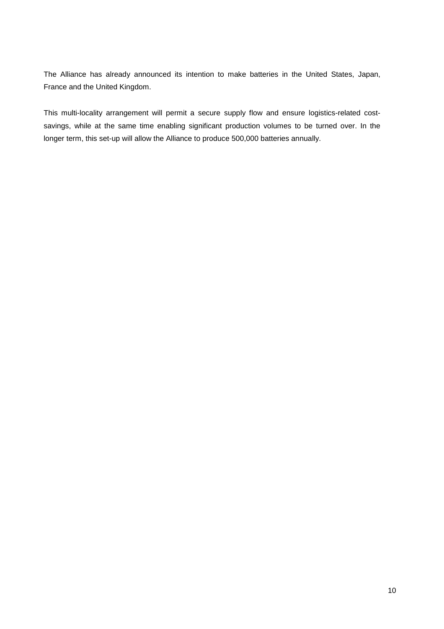The Alliance has already announced its intention to make batteries in the United States, Japan, France and the United Kingdom.

This multi-locality arrangement will permit a secure supply flow and ensure logistics-related costsavings, while at the same time enabling significant production volumes to be turned over. In the longer term, this set-up will allow the Alliance to produce 500,000 batteries annually.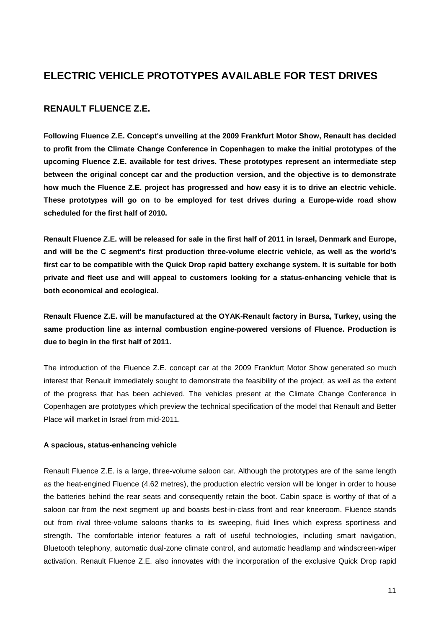# **ELECTRIC VEHICLE PROTOTYPES AVAILABLE FOR TEST DRIVES**

# **RENAULT FLUENCE Z.E.**

**Following Fluence Z.E. Concept's unveiling at the 2009 Frankfurt Motor Show, Renault has decided to profit from the Climate Change Conference in Copenhagen to make the initial prototypes of the upcoming Fluence Z.E. available for test drives. These prototypes represent an intermediate step between the original concept car and the production version, and the objective is to demonstrate how much the Fluence Z.E. project has progressed and how easy it is to drive an electric vehicle. These prototypes will go on to be employed for test drives during a Europe-wide road show scheduled for the first half of 2010.** 

**Renault Fluence Z.E. will be released for sale in the first half of 2011 in Israel, Denmark and Europe, and will be the C segment's first production three-volume electric vehicle, as well as the world's first car to be compatible with the Quick Drop rapid battery exchange system. It is suitable for both private and fleet use and will appeal to customers looking for a status-enhancing vehicle that is both economical and ecological.** 

**Renault Fluence Z.E. will be manufactured at the OYAK-Renault factory in Bursa, Turkey, using the same production line as internal combustion engine-powered versions of Fluence. Production is due to begin in the first half of 2011.** 

The introduction of the Fluence Z.E. concept car at the 2009 Frankfurt Motor Show generated so much interest that Renault immediately sought to demonstrate the feasibility of the project, as well as the extent of the progress that has been achieved. The vehicles present at the Climate Change Conference in Copenhagen are prototypes which preview the technical specification of the model that Renault and Better Place will market in Israel from mid-2011.

# **A spacious, status-enhancing vehicle**

Renault Fluence Z.E. is a large, three-volume saloon car. Although the prototypes are of the same length as the heat-engined Fluence (4.62 metres), the production electric version will be longer in order to house the batteries behind the rear seats and consequently retain the boot. Cabin space is worthy of that of a saloon car from the next segment up and boasts best-in-class front and rear kneeroom. Fluence stands out from rival three-volume saloons thanks to its sweeping, fluid lines which express sportiness and strength. The comfortable interior features a raft of useful technologies, including smart navigation, Bluetooth telephony, automatic dual-zone climate control, and automatic headlamp and windscreen-wiper activation. Renault Fluence Z.E. also innovates with the incorporation of the exclusive Quick Drop rapid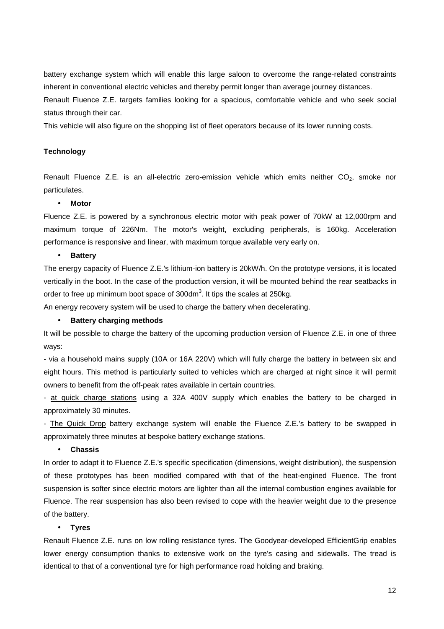battery exchange system which will enable this large saloon to overcome the range-related constraints inherent in conventional electric vehicles and thereby permit longer than average journey distances.

Renault Fluence Z.E. targets families looking for a spacious, comfortable vehicle and who seek social status through their car.

This vehicle will also figure on the shopping list of fleet operators because of its lower running costs.

#### **Technology**

Renault Fluence Z.E. is an all-electric zero-emission vehicle which emits neither  $CO<sub>2</sub>$ , smoke nor particulates.

#### • **Motor**

Fluence Z.E. is powered by a synchronous electric motor with peak power of 70kW at 12,000rpm and maximum torque of 226Nm. The motor's weight, excluding peripherals, is 160kg. Acceleration performance is responsive and linear, with maximum torque available very early on.

#### • **Battery**

The energy capacity of Fluence Z.E.'s lithium-ion battery is 20kW/h. On the prototype versions, it is located vertically in the boot. In the case of the production version, it will be mounted behind the rear seatbacks in order to free up minimum boot space of 300dm<sup>3</sup>. It tips the scales at 250kg.

An energy recovery system will be used to charge the battery when decelerating.

#### • **Battery charging methods**

It will be possible to charge the battery of the upcoming production version of Fluence Z.E. in one of three ways:

- via a household mains supply (10A or 16A 220V) which will fully charge the battery in between six and eight hours. This method is particularly suited to vehicles which are charged at night since it will permit owners to benefit from the off-peak rates available in certain countries.

- at quick charge stations using a 32A 400V supply which enables the battery to be charged in approximately 30 minutes.

- The Quick Drop battery exchange system will enable the Fluence Z.E.'s battery to be swapped in approximately three minutes at bespoke battery exchange stations.

#### • **Chassis**

In order to adapt it to Fluence Z.E.'s specific specification (dimensions, weight distribution), the suspension of these prototypes has been modified compared with that of the heat-engined Fluence. The front suspension is softer since electric motors are lighter than all the internal combustion engines available for Fluence. The rear suspension has also been revised to cope with the heavier weight due to the presence of the battery.

#### • **Tyres**

Renault Fluence Z.E. runs on low rolling resistance tyres. The Goodyear-developed EfficientGrip enables lower energy consumption thanks to extensive work on the tyre's casing and sidewalls. The tread is identical to that of a conventional tyre for high performance road holding and braking.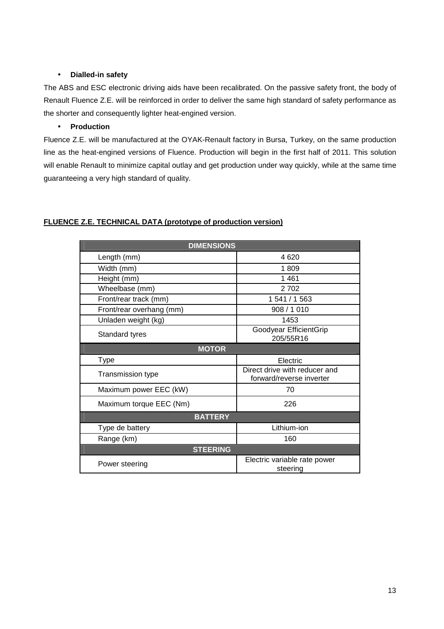# • **Dialled-in safety**

The ABS and ESC electronic driving aids have been recalibrated. On the passive safety front, the body of Renault Fluence Z.E. will be reinforced in order to deliver the same high standard of safety performance as the shorter and consequently lighter heat-engined version.

# • **Production**

Fluence Z.E. will be manufactured at the OYAK-Renault factory in Bursa, Turkey, on the same production line as the heat-engined versions of Fluence. Production will begin in the first half of 2011. This solution will enable Renault to minimize capital outlay and get production under way quickly, while at the same time guaranteeing a very high standard of quality.

# **FLUENCE Z.E. TECHNICAL DATA (prototype of production version)**

| <b>DIMENSIONS</b>        |                                                           |  |
|--------------------------|-----------------------------------------------------------|--|
| Length (mm)              | 4620                                                      |  |
| Width (mm)               | 1809                                                      |  |
| Height (mm)              | 1461                                                      |  |
| Wheelbase (mm)           | 2702                                                      |  |
| Front/rear track (mm)    | 1 541 / 1 563                                             |  |
| Front/rear overhang (mm) | 908 / 1010                                                |  |
| Unladen weight (kg)      | 1453                                                      |  |
| Standard tyres           | Goodyear EfficientGrip<br>205/55R16                       |  |
| <b>MOTOR</b>             |                                                           |  |
| Type                     | Electric                                                  |  |
| Transmission type        | Direct drive with reducer and<br>forward/reverse inverter |  |
| Maximum power EEC (kW)   | 70                                                        |  |
| Maximum torque EEC (Nm)  | 226                                                       |  |
| <b>BATTERY</b>           |                                                           |  |
| Type de battery          | Lithium-ion                                               |  |
| Range (km)               | 160                                                       |  |
| <b>STEERING</b>          |                                                           |  |
| Power steering           | Electric variable rate power<br>steering                  |  |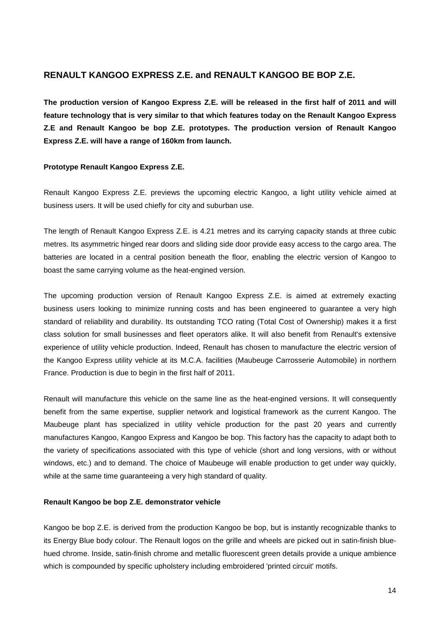# **RENAULT KANGOO EXPRESS Z.E. and RENAULT KANGOO BE BOP Z.E.**

**The production version of Kangoo Express Z.E. will be released in the first half of 2011 and will feature technology that is very similar to that which features today on the Renault Kangoo Express Z.E and Renault Kangoo be bop Z.E. prototypes. The production version of Renault Kangoo Express Z.E. will have a range of 160km from launch.** 

# **Prototype Renault Kangoo Express Z.E.**

Renault Kangoo Express Z.E. previews the upcoming electric Kangoo, a light utility vehicle aimed at business users. It will be used chiefly for city and suburban use.

The length of Renault Kangoo Express Z.E. is 4.21 metres and its carrying capacity stands at three cubic metres. Its asymmetric hinged rear doors and sliding side door provide easy access to the cargo area. The batteries are located in a central position beneath the floor, enabling the electric version of Kangoo to boast the same carrying volume as the heat-engined version.

The upcoming production version of Renault Kangoo Express Z.E. is aimed at extremely exacting business users looking to minimize running costs and has been engineered to guarantee a very high standard of reliability and durability. Its outstanding TCO rating (Total Cost of Ownership) makes it a first class solution for small businesses and fleet operators alike. It will also benefit from Renault's extensive experience of utility vehicle production. Indeed, Renault has chosen to manufacture the electric version of the Kangoo Express utility vehicle at its M.C.A. facilities (Maubeuge Carrosserie Automobile) in northern France. Production is due to begin in the first half of 2011.

Renault will manufacture this vehicle on the same line as the heat-engined versions. It will consequently benefit from the same expertise, supplier network and logistical framework as the current Kangoo. The Maubeuge plant has specialized in utility vehicle production for the past 20 years and currently manufactures Kangoo, Kangoo Express and Kangoo be bop. This factory has the capacity to adapt both to the variety of specifications associated with this type of vehicle (short and long versions, with or without windows, etc.) and to demand. The choice of Maubeuge will enable production to get under way quickly, while at the same time guaranteeing a very high standard of quality.

## **Renault Kangoo be bop Z.E. demonstrator vehicle**

Kangoo be bop Z.E. is derived from the production Kangoo be bop, but is instantly recognizable thanks to its Energy Blue body colour. The Renault logos on the grille and wheels are picked out in satin-finish bluehued chrome. Inside, satin-finish chrome and metallic fluorescent green details provide a unique ambience which is compounded by specific upholstery including embroidered 'printed circuit' motifs.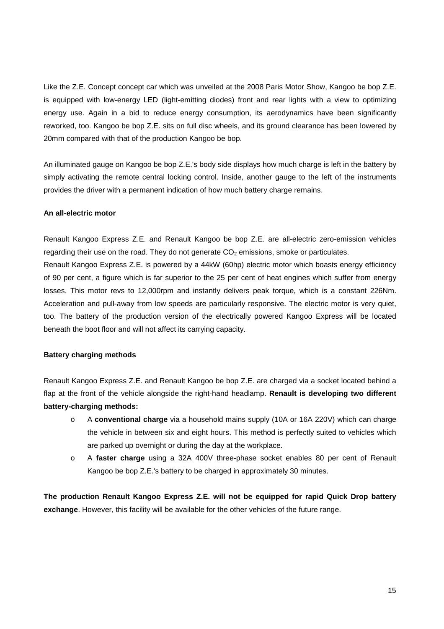Like the Z.E. Concept concept car which was unveiled at the 2008 Paris Motor Show, Kangoo be bop Z.E. is equipped with low-energy LED (light-emitting diodes) front and rear lights with a view to optimizing energy use. Again in a bid to reduce energy consumption, its aerodynamics have been significantly reworked, too. Kangoo be bop Z.E. sits on full disc wheels, and its ground clearance has been lowered by 20mm compared with that of the production Kangoo be bop.

An illuminated gauge on Kangoo be bop Z.E.'s body side displays how much charge is left in the battery by simply activating the remote central locking control. Inside, another gauge to the left of the instruments provides the driver with a permanent indication of how much battery charge remains.

#### **An all-electric motor**

Renault Kangoo Express Z.E. and Renault Kangoo be bop Z.E. are all-electric zero-emission vehicles regarding their use on the road. They do not generate  $CO<sub>2</sub>$  emissions, smoke or particulates.

Renault Kangoo Express Z.E. is powered by a 44kW (60hp) electric motor which boasts energy efficiency of 90 per cent, a figure which is far superior to the 25 per cent of heat engines which suffer from energy losses. This motor revs to 12,000rpm and instantly delivers peak torque, which is a constant 226Nm. Acceleration and pull-away from low speeds are particularly responsive. The electric motor is very quiet, too. The battery of the production version of the electrically powered Kangoo Express will be located beneath the boot floor and will not affect its carrying capacity.

#### **Battery charging methods**

Renault Kangoo Express Z.E. and Renault Kangoo be bop Z.E. are charged via a socket located behind a flap at the front of the vehicle alongside the right-hand headlamp. **Renault is developing two different battery-charging methods:** 

- o A **conventional charge** via a household mains supply (10A or 16A 220V) which can charge the vehicle in between six and eight hours. This method is perfectly suited to vehicles which are parked up overnight or during the day at the workplace.
- o A **faster charge** using a 32A 400V three-phase socket enables 80 per cent of Renault Kangoo be bop Z.E.'s battery to be charged in approximately 30 minutes.

**The production Renault Kangoo Express Z.E. will not be equipped for rapid Quick Drop battery exchange**. However, this facility will be available for the other vehicles of the future range.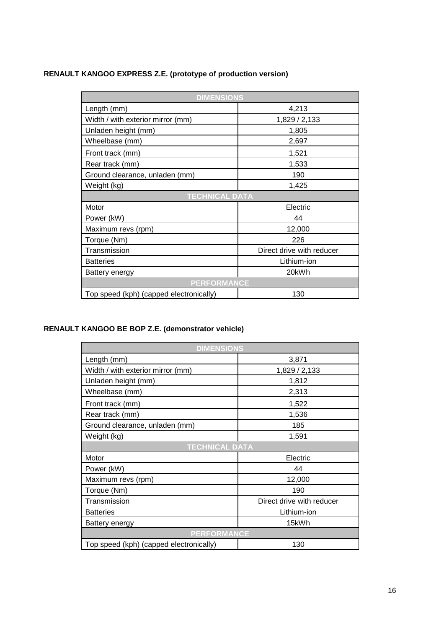# **RENAULT KANGOO EXPRESS Z.E. (prototype of production version)**

| <b>DIMENSIONS</b>                       |                           |  |
|-----------------------------------------|---------------------------|--|
| Length (mm)                             | 4,213                     |  |
| Width / with exterior mirror (mm)       | 1,829 / 2,133             |  |
| Unladen height (mm)                     | 1,805                     |  |
| Wheelbase (mm)                          | 2,697                     |  |
| Front track (mm)                        | 1,521                     |  |
| Rear track (mm)                         | 1,533                     |  |
| Ground clearance, unladen (mm)          | 190                       |  |
| Weight (kg)                             | 1,425                     |  |
| <b>TECHNICAL DATA</b>                   |                           |  |
| Motor                                   | Electric                  |  |
| Power (kW)                              | 44                        |  |
| Maximum revs (rpm)                      | 12,000                    |  |
| Torque (Nm)                             | 226                       |  |
| Transmission                            | Direct drive with reducer |  |
| <b>Batteries</b>                        | Lithium-ion               |  |
| Battery energy                          | 20kWh                     |  |
| <b>PERFORMANCE</b>                      |                           |  |
| Top speed (kph) (capped electronically) | 130                       |  |

# **RENAULT KANGOO BE BOP Z.E. (demonstrator vehicle)**

| <b>DIMENSIONS</b>                       |                           |  |
|-----------------------------------------|---------------------------|--|
| Length (mm)                             | 3,871                     |  |
| Width / with exterior mirror (mm)       | 1,829 / 2,133             |  |
| Unladen height (mm)                     | 1,812                     |  |
| Wheelbase (mm)                          | 2,313                     |  |
| Front track (mm)                        | 1,522                     |  |
| Rear track (mm)                         | 1,536                     |  |
| Ground clearance, unladen (mm)          | 185                       |  |
| Weight (kg)                             | 1,591                     |  |
| <b>TECHNICAL DATA</b>                   |                           |  |
| Motor                                   | Electric                  |  |
| Power (kW)                              | 44                        |  |
| Maximum revs (rpm)                      | 12,000                    |  |
| Torque (Nm)                             | 190                       |  |
| Transmission                            | Direct drive with reducer |  |
| <b>Batteries</b>                        | Lithium-ion               |  |
| Battery energy                          | 15kWh                     |  |
| <b>PERFORMANCE</b>                      |                           |  |
| Top speed (kph) (capped electronically) | 130                       |  |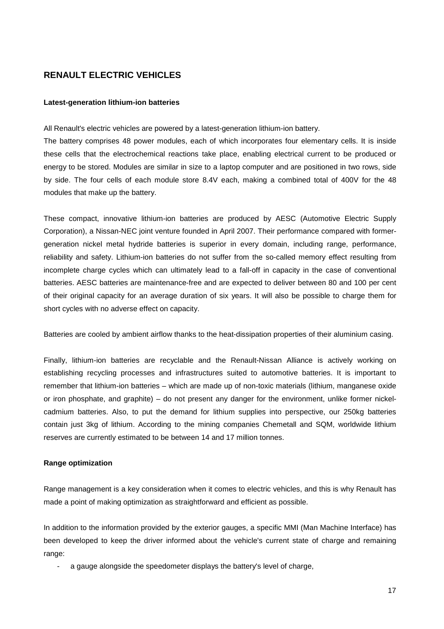# **RENAULT ELECTRIC VEHICLES**

#### **Latest-generation lithium-ion batteries**

All Renault's electric vehicles are powered by a latest-generation lithium-ion battery.

The battery comprises 48 power modules, each of which incorporates four elementary cells. It is inside these cells that the electrochemical reactions take place, enabling electrical current to be produced or energy to be stored. Modules are similar in size to a laptop computer and are positioned in two rows, side by side. The four cells of each module store 8.4V each, making a combined total of 400V for the 48 modules that make up the battery.

These compact, innovative lithium-ion batteries are produced by AESC (Automotive Electric Supply Corporation), a Nissan-NEC joint venture founded in April 2007. Their performance compared with formergeneration nickel metal hydride batteries is superior in every domain, including range, performance, reliability and safety. Lithium-ion batteries do not suffer from the so-called memory effect resulting from incomplete charge cycles which can ultimately lead to a fall-off in capacity in the case of conventional batteries. AESC batteries are maintenance-free and are expected to deliver between 80 and 100 per cent of their original capacity for an average duration of six years. It will also be possible to charge them for short cycles with no adverse effect on capacity.

Batteries are cooled by ambient airflow thanks to the heat-dissipation properties of their aluminium casing.

Finally, lithium-ion batteries are recyclable and the Renault-Nissan Alliance is actively working on establishing recycling processes and infrastructures suited to automotive batteries. It is important to remember that lithium-ion batteries – which are made up of non-toxic materials (lithium, manganese oxide or iron phosphate, and graphite) – do not present any danger for the environment, unlike former nickelcadmium batteries. Also, to put the demand for lithium supplies into perspective, our 250kg batteries contain just 3kg of lithium. According to the mining companies Chemetall and SQM, worldwide lithium reserves are currently estimated to be between 14 and 17 million tonnes.

# **Range optimization**

Range management is a key consideration when it comes to electric vehicles, and this is why Renault has made a point of making optimization as straightforward and efficient as possible.

In addition to the information provided by the exterior gauges, a specific MMI (Man Machine Interface) has been developed to keep the driver informed about the vehicle's current state of charge and remaining range:

a gauge alongside the speedometer displays the battery's level of charge,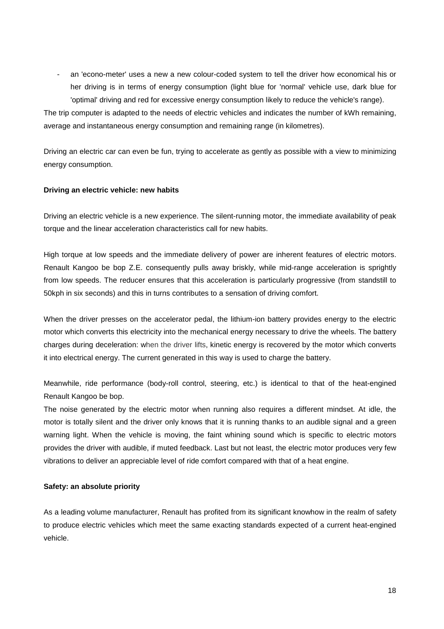an 'econo-meter' uses a new a new colour-coded system to tell the driver how economical his or her driving is in terms of energy consumption (light blue for 'normal' vehicle use, dark blue for 'optimal' driving and red for excessive energy consumption likely to reduce the vehicle's range).

The trip computer is adapted to the needs of electric vehicles and indicates the number of kWh remaining, average and instantaneous energy consumption and remaining range (in kilometres).

Driving an electric car can even be fun, trying to accelerate as gently as possible with a view to minimizing energy consumption.

# **Driving an electric vehicle: new habits**

Driving an electric vehicle is a new experience. The silent-running motor, the immediate availability of peak torque and the linear acceleration characteristics call for new habits.

High torque at low speeds and the immediate delivery of power are inherent features of electric motors. Renault Kangoo be bop Z.E. consequently pulls away briskly, while mid-range acceleration is sprightly from low speeds. The reducer ensures that this acceleration is particularly progressive (from standstill to 50kph in six seconds) and this in turns contributes to a sensation of driving comfort.

When the driver presses on the accelerator pedal, the lithium-ion battery provides energy to the electric motor which converts this electricity into the mechanical energy necessary to drive the wheels. The battery charges during deceleration: when the driver lifts, kinetic energy is recovered by the motor which converts it into electrical energy. The current generated in this way is used to charge the battery.

Meanwhile, ride performance (body-roll control, steering, etc.) is identical to that of the heat-engined Renault Kangoo be bop.

The noise generated by the electric motor when running also requires a different mindset. At idle, the motor is totally silent and the driver only knows that it is running thanks to an audible signal and a green warning light. When the vehicle is moving, the faint whining sound which is specific to electric motors provides the driver with audible, if muted feedback. Last but not least, the electric motor produces very few vibrations to deliver an appreciable level of ride comfort compared with that of a heat engine.

#### **Safety: an absolute priority**

As a leading volume manufacturer, Renault has profited from its significant knowhow in the realm of safety to produce electric vehicles which meet the same exacting standards expected of a current heat-engined vehicle.